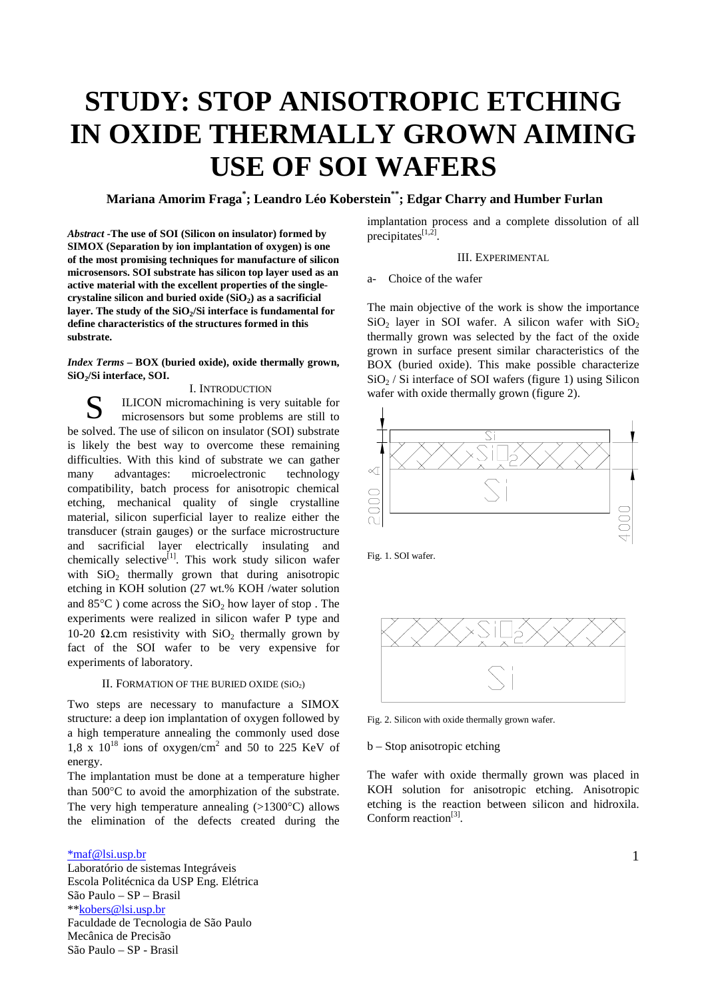# **STUDY: STOP ANISOTROPIC ETCHING IN OXIDE THERMALLY GROWN AIMING USE OF SOI WAFERS**

# **Mariana Amorim Fraga\* ; Leandro Léo Koberstein\*\*; Edgar Charry and Humber Furlan**

*Abstract* **-The use of SOI (Silicon on insulator) formed by SIMOX (Separation by ion implantation of oxygen) is one of the most promising techniques for manufacture of silicon microsensors. SOI substrate has silicon top layer used as an active material with the excellent properties of the singlecrystaline silicon and buried oxide (SiO2) as a sacrificial** layer. The study of the SiO<sub>2</sub>/Si interface is fundamental for **define characteristics of the structures formed in this substrate.**

*Index Terms* **– BOX (buried oxide), oxide thermally grown, SiO2/Si interface, SOI.**

#### I. INTRODUCTION

ILICON micromachining is very suitable for microsensors but some problems are still to be solved. The use of silicon on insulator (SOI) substrate is likely the best way to overcome these remaining difficulties. With this kind of substrate we can gather many advantages: microelectronic technology compatibility, batch process for anisotropic chemical etching, mechanical quality of single crystalline material, silicon superficial layer to realize either the transducer (strain gauges) or the surface microstructure and sacrificial layer electrically insulating and chemically selective<sup>[1]</sup>. This work study silicon wafer with  $SiO<sub>2</sub>$  thermally grown that during anisotropic etching in KOH solution (27 wt.% KOH /water solution and  $85^{\circ}$ C) come across the SiO<sub>2</sub> how layer of stop. The experiments were realized in silicon wafer P type and 10-20  $\Omega$ .cm resistivity with SiO<sub>2</sub> thermally grown by fact of the SOI wafer to be very expensive for experiments of laboratory. S

## II. FORMATION OF THE BURIED OXIDE (SiO2)

Two steps are necessary to manufacture a SIMOX structure: a deep ion implantation of oxygen followed by a high temperature annealing the commonly used dose 1,8 x  $10^{18}$  ions of oxygen/cm<sup>2</sup> and 50 to 225 KeV of energy.

The implantation must be done at a temperature higher than 500°C to avoid the amorphization of the substrate. The very high temperature annealing  $(>1300^{\circ}C)$  allows the elimination of the defects created during the

#### \*maf@lsi.usp.br

Laboratório de sistemas Integráveis Escola Politécnica da USP Eng. Elétrica São Paulo – SP – Brasil \*\*kobers@lsi.usp.br Faculdade de Tecnologia de São Paulo Mecânica de Precisão São Paulo – SP - Brasil

implantation process and a complete dissolution of all precipitates $[1,2]$ .

### III. EXPERIMENTAL.

#### Choice of the wafer

The main objective of the work is show the importance  $SiO<sub>2</sub>$  layer in SOI wafer. A silicon wafer with  $SiO<sub>2</sub>$ thermally grown was selected by the fact of the oxide grown in surface present similar characteristics of the BOX (buried oxide). This make possible characterize  $SiO<sub>2</sub>$  / Si interface of SOI wafers (figure 1) using Silicon wafer with oxide thermally grown (figure 2).



Fig. 1. SOI wafer.



Fig. 2. Silicon with oxide thermally grown wafer.

b – Stop anisotropic etching

The wafer with oxide thermally grown was placed in KOH solution for anisotropic etching. Anisotropic etching is the reaction between silicon and hidroxila. Conform reaction<sup>[3]</sup>.